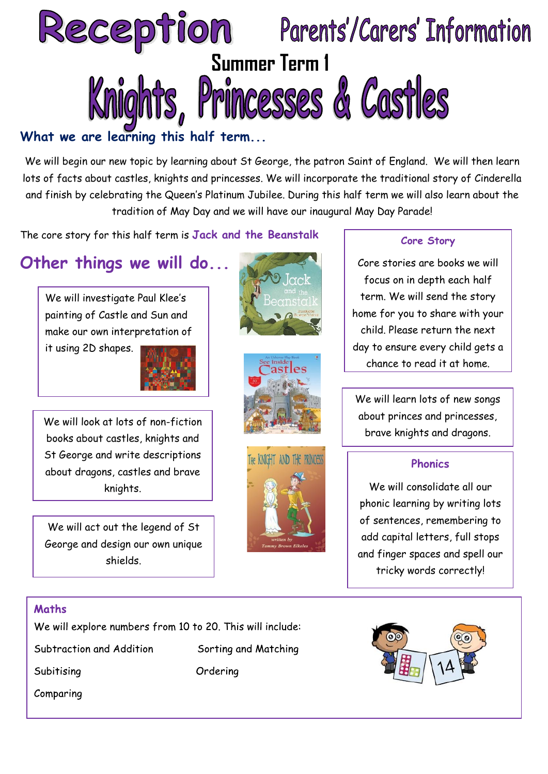

## **What we are learning this half term...**

We will begin our new topic by learning about St George, the patron Saint of England. We will then learn lots of facts about castles, knights and princesses. We will incorporate the traditional story of Cinderella and finish by celebrating the Queen's Platinum Jubilee. During this half term we will also learn about the tradition of May Day and we will have our inaugural May Day Parade!

The core story for this half term is **Jack and the Beanstalk**

# **Other things we will do...**

We will investigate Paul Klee's painting of Castle and Sun and make our own interpretation of

it using 2D shapes.



We will look at lots of non-fiction books about castles, knights and St George and write descriptions about dragons, castles and brave knights.

We will act out the legend of St George and design our own unique shields.







#### **Core Story**

Core stories are books we will focus on in depth each half term. We will send the story home for you to share with your child. Please return the next day to ensure every child gets a chance to read it at home.

We will learn lots of new songs about princes and princesses, brave knights and dragons.

#### **Phonics**

We will consolidate all our phonic learning by writing lots of sentences, remembering to add capital letters, full stops and finger spaces and spell our tricky words correctly!

#### Maths

We will explore numbers from 10 to 20. This will include:

Subtraction and Addition

Subitising

Comparing

Sorting and Matching Ordering